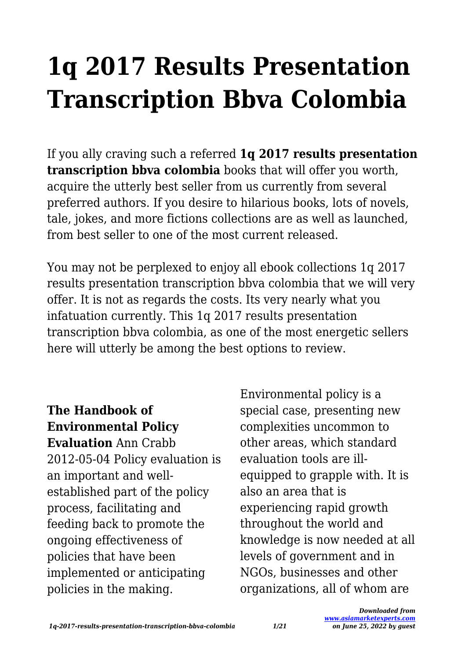# **1q 2017 Results Presentation Transcription Bbva Colombia**

If you ally craving such a referred **1q 2017 results presentation transcription bbva colombia** books that will offer you worth, acquire the utterly best seller from us currently from several preferred authors. If you desire to hilarious books, lots of novels, tale, jokes, and more fictions collections are as well as launched, from best seller to one of the most current released.

You may not be perplexed to enjoy all ebook collections 1q 2017 results presentation transcription bbva colombia that we will very offer. It is not as regards the costs. Its very nearly what you infatuation currently. This 1q 2017 results presentation transcription bbva colombia, as one of the most energetic sellers here will utterly be among the best options to review.

**The Handbook of Environmental Policy Evaluation** Ann Crabb 2012-05-04 Policy evaluation is an important and wellestablished part of the policy process, facilitating and feeding back to promote the ongoing effectiveness of policies that have been implemented or anticipating policies in the making.

Environmental policy is a special case, presenting new complexities uncommon to other areas, which standard evaluation tools are illequipped to grapple with. It is also an area that is experiencing rapid growth throughout the world and knowledge is now needed at all levels of government and in NGOs, businesses and other organizations, all of whom are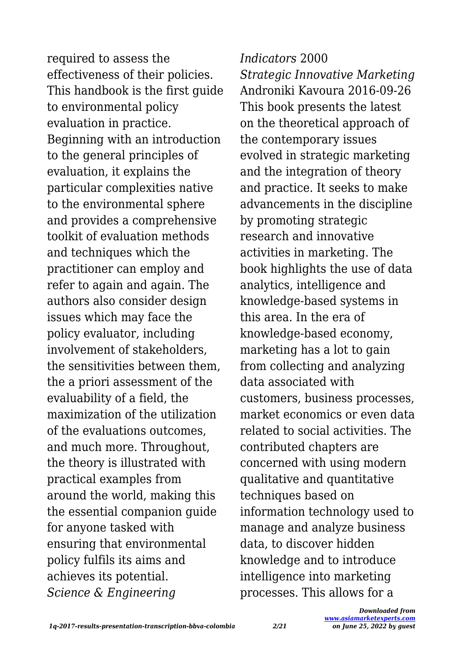required to assess the effectiveness of their policies. This handbook is the first guide to environmental policy evaluation in practice. Beginning with an introduction to the general principles of evaluation, it explains the particular complexities native to the environmental sphere and provides a comprehensive toolkit of evaluation methods and techniques which the practitioner can employ and refer to again and again. The authors also consider design issues which may face the policy evaluator, including involvement of stakeholders, the sensitivities between them, the a priori assessment of the evaluability of a field, the maximization of the utilization of the evaluations outcomes, and much more. Throughout, the theory is illustrated with practical examples from around the world, making this the essential companion guide for anyone tasked with ensuring that environmental policy fulfils its aims and achieves its potential. *Science & Engineering*

*Indicators* 2000 *Strategic Innovative Marketing* Androniki Kavoura 2016-09-26 This book presents the latest on the theoretical approach of the contemporary issues evolved in strategic marketing and the integration of theory and practice. It seeks to make advancements in the discipline by promoting strategic research and innovative activities in marketing. The book highlights the use of data analytics, intelligence and knowledge-based systems in this area. In the era of knowledge-based economy, marketing has a lot to gain from collecting and analyzing data associated with customers, business processes, market economics or even data related to social activities. The contributed chapters are concerned with using modern qualitative and quantitative techniques based on information technology used to manage and analyze business data, to discover hidden knowledge and to introduce intelligence into marketing processes. This allows for a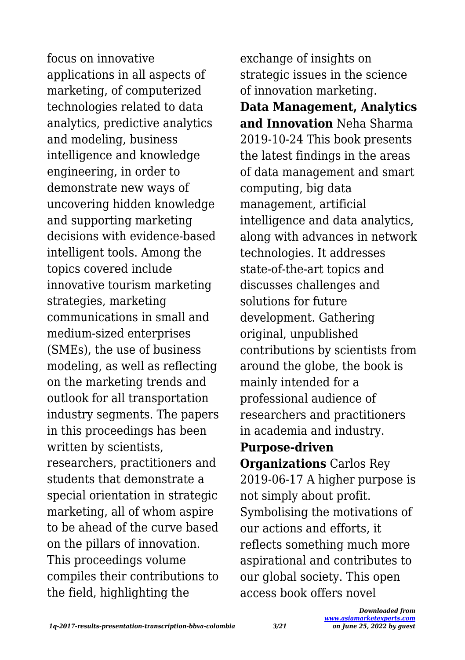focus on innovative applications in all aspects of marketing, of computerized technologies related to data analytics, predictive analytics and modeling, business intelligence and knowledge engineering, in order to demonstrate new ways of uncovering hidden knowledge and supporting marketing decisions with evidence-based intelligent tools. Among the topics covered include innovative tourism marketing strategies, marketing communications in small and medium-sized enterprises (SMEs), the use of business modeling, as well as reflecting on the marketing trends and outlook for all transportation industry segments. The papers in this proceedings has been written by scientists, researchers, practitioners and students that demonstrate a special orientation in strategic marketing, all of whom aspire to be ahead of the curve based on the pillars of innovation. This proceedings volume compiles their contributions to the field, highlighting the

exchange of insights on strategic issues in the science of innovation marketing.

**Data Management, Analytics and Innovation** Neha Sharma 2019-10-24 This book presents the latest findings in the areas of data management and smart computing, big data management, artificial intelligence and data analytics, along with advances in network technologies. It addresses state-of-the-art topics and discusses challenges and solutions for future development. Gathering original, unpublished contributions by scientists from around the globe, the book is mainly intended for a professional audience of researchers and practitioners in academia and industry.

#### **Purpose-driven**

**Organizations** Carlos Rey 2019-06-17 A higher purpose is not simply about profit. Symbolising the motivations of our actions and efforts, it reflects something much more aspirational and contributes to our global society. This open access book offers novel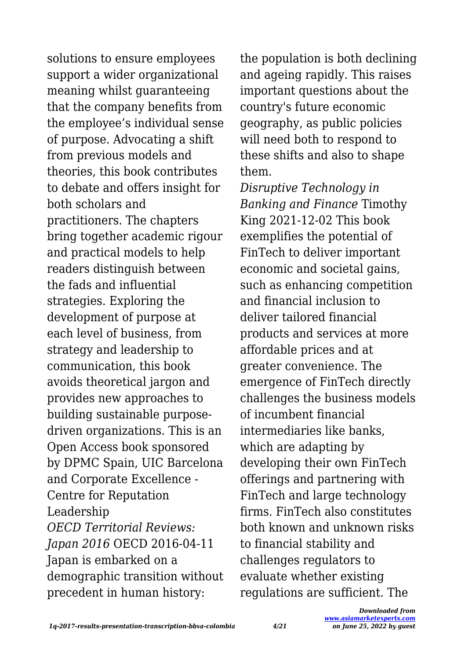solutions to ensure employees support a wider organizational meaning whilst guaranteeing that the company benefits from the employee's individual sense of purpose. Advocating a shift from previous models and theories, this book contributes to debate and offers insight for both scholars and practitioners. The chapters bring together academic rigour and practical models to help readers distinguish between the fads and influential strategies. Exploring the development of purpose at each level of business, from strategy and leadership to communication, this book avoids theoretical jargon and provides new approaches to building sustainable purposedriven organizations. This is an Open Access book sponsored by DPMC Spain, UIC Barcelona and Corporate Excellence - Centre for Reputation Leadership *OECD Territorial Reviews: Japan 2016* OECD 2016-04-11 Japan is embarked on a demographic transition without precedent in human history:

the population is both declining and ageing rapidly. This raises important questions about the country's future economic geography, as public policies will need both to respond to these shifts and also to shape them.

*Disruptive Technology in Banking and Finance* Timothy King 2021-12-02 This book exemplifies the potential of FinTech to deliver important economic and societal gains, such as enhancing competition and financial inclusion to deliver tailored financial products and services at more affordable prices and at greater convenience. The emergence of FinTech directly challenges the business models of incumbent financial intermediaries like banks, which are adapting by developing their own FinTech offerings and partnering with FinTech and large technology firms. FinTech also constitutes both known and unknown risks to financial stability and challenges regulators to evaluate whether existing regulations are sufficient. The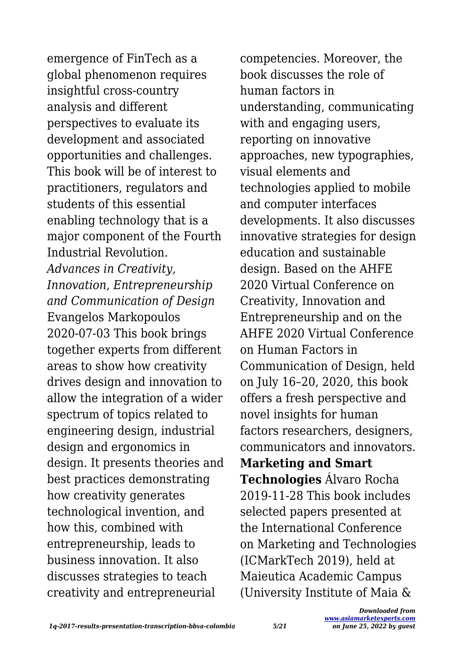emergence of FinTech as a global phenomenon requires insightful cross-country analysis and different perspectives to evaluate its development and associated opportunities and challenges. This book will be of interest to practitioners, regulators and students of this essential enabling technology that is a major component of the Fourth Industrial Revolution. *Advances in Creativity, Innovation, Entrepreneurship and Communication of Design* Evangelos Markopoulos 2020-07-03 This book brings together experts from different areas to show how creativity drives design and innovation to allow the integration of a wider spectrum of topics related to engineering design, industrial design and ergonomics in design. It presents theories and best practices demonstrating how creativity generates technological invention, and how this, combined with entrepreneurship, leads to business innovation. It also discusses strategies to teach creativity and entrepreneurial

competencies. Moreover, the book discusses the role of human factors in understanding, communicating with and engaging users, reporting on innovative approaches, new typographies, visual elements and technologies applied to mobile and computer interfaces developments. It also discusses innovative strategies for design education and sustainable design. Based on the AHFE 2020 Virtual Conference on Creativity, Innovation and Entrepreneurship and on the AHFE 2020 Virtual Conference on Human Factors in Communication of Design, held on July 16–20, 2020, this book offers a fresh perspective and novel insights for human factors researchers, designers, communicators and innovators. **Marketing and Smart Technologies** Álvaro Rocha 2019-11-28 This book includes selected papers presented at the International Conference on Marketing and Technologies (ICMarkTech 2019), held at Maieutica Academic Campus (University Institute of Maia &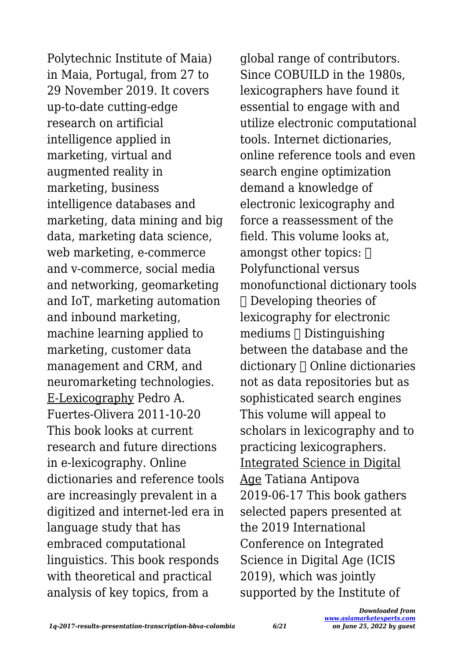Polytechnic Institute of Maia) in Maia, Portugal, from 27 to 29 November 2019. It covers up-to-date cutting-edge research on artificial intelligence applied in marketing, virtual and augmented reality in marketing, business intelligence databases and marketing, data mining and big data, marketing data science, web marketing, e-commerce and v-commerce, social media and networking, geomarketing and IoT, marketing automation and inbound marketing, machine learning applied to marketing, customer data management and CRM, and neuromarketing technologies. E-Lexicography Pedro A. Fuertes-Olivera 2011-10-20 This book looks at current research and future directions in e-lexicography. Online dictionaries and reference tools are increasingly prevalent in a digitized and internet-led era in language study that has embraced computational linguistics. This book responds with theoretical and practical analysis of key topics, from a

global range of contributors. Since COBUILD in the 1980s, lexicographers have found it essential to engage with and utilize electronic computational tools. Internet dictionaries, online reference tools and even search engine optimization demand a knowledge of electronic lexicography and force a reassessment of the field. This volume looks at amongst other topics:  $\Box$ Polyfunctional versus monofunctional dictionary tools Developing theories of lexicography for electronic  $mediums \sqcap Distinquishinq$ between the database and the  $dictionary  $\cap$  Online dictionaries$ not as data repositories but as sophisticated search engines This volume will appeal to scholars in lexicography and to practicing lexicographers. Integrated Science in Digital Age Tatiana Antipova 2019-06-17 This book gathers selected papers presented at the 2019 International Conference on Integrated Science in Digital Age (ICIS 2019), which was jointly supported by the Institute of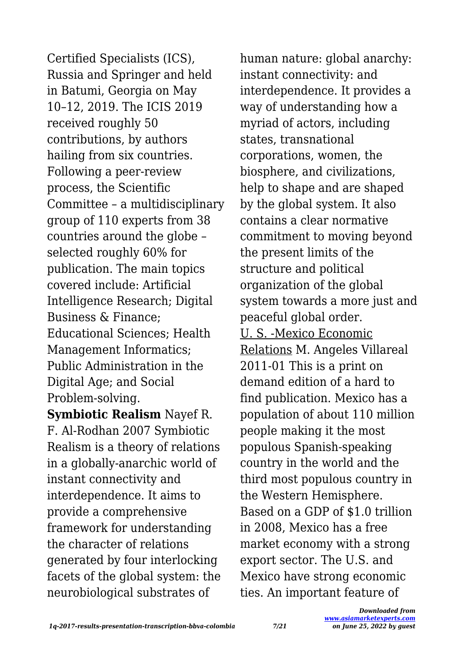Certified Specialists (ICS), Russia and Springer and held in Batumi, Georgia on May 10–12, 2019. The ICIS 2019 received roughly 50 contributions, by authors hailing from six countries. Following a peer-review process, the Scientific Committee – a multidisciplinary group of 110 experts from 38 countries around the globe – selected roughly 60% for publication. The main topics covered include: Artificial Intelligence Research; Digital Business & Finance; Educational Sciences; Health Management Informatics; Public Administration in the Digital Age; and Social Problem-solving.

**Symbiotic Realism** Nayef R. F. Al-Rodhan 2007 Symbiotic Realism is a theory of relations in a globally-anarchic world of instant connectivity and interdependence. It aims to provide a comprehensive framework for understanding the character of relations generated by four interlocking facets of the global system: the neurobiological substrates of

human nature: global anarchy: instant connectivity: and interdependence. It provides a way of understanding how a myriad of actors, including states, transnational corporations, women, the biosphere, and civilizations, help to shape and are shaped by the global system. It also contains a clear normative commitment to moving beyond the present limits of the structure and political organization of the global system towards a more just and peaceful global order. U. S. -Mexico Economic Relations M. Angeles Villareal 2011-01 This is a print on demand edition of a hard to find publication. Mexico has a population of about 110 million people making it the most populous Spanish-speaking country in the world and the third most populous country in the Western Hemisphere. Based on a GDP of \$1.0 trillion in 2008, Mexico has a free market economy with a strong export sector. The U.S. and Mexico have strong economic ties. An important feature of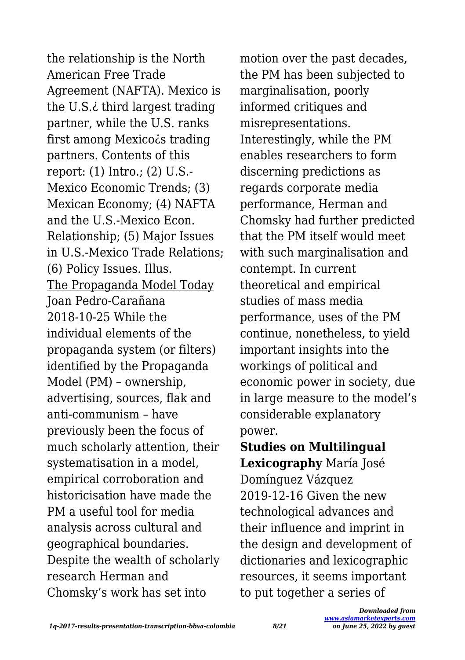the relationship is the North American Free Trade Agreement (NAFTA). Mexico is the U.S.¿ third largest trading partner, while the U.S. ranks first among Mexico*is* trading partners. Contents of this report: (1) Intro.; (2) U.S.- Mexico Economic Trends; (3) Mexican Economy; (4) NAFTA and the U.S.-Mexico Econ. Relationship; (5) Major Issues in U.S.-Mexico Trade Relations; (6) Policy Issues. Illus. The Propaganda Model Today Joan Pedro-Carañana 2018-10-25 While the individual elements of the propaganda system (or filters) identified by the Propaganda Model (PM) – ownership, advertising, sources, flak and anti-communism – have previously been the focus of much scholarly attention, their systematisation in a model, empirical corroboration and historicisation have made the PM a useful tool for media analysis across cultural and geographical boundaries. Despite the wealth of scholarly research Herman and Chomsky's work has set into

motion over the past decades, the PM has been subjected to marginalisation, poorly informed critiques and misrepresentations. Interestingly, while the PM enables researchers to form discerning predictions as regards corporate media performance, Herman and Chomsky had further predicted that the PM itself would meet with such marginalisation and contempt. In current theoretical and empirical studies of mass media performance, uses of the PM continue, nonetheless, to yield important insights into the workings of political and economic power in society, due in large measure to the model's considerable explanatory power.

**Studies on Multilingual Lexicography** María José Domínguez Vázquez 2019-12-16 Given the new technological advances and their influence and imprint in the design and development of dictionaries and lexicographic resources, it seems important to put together a series of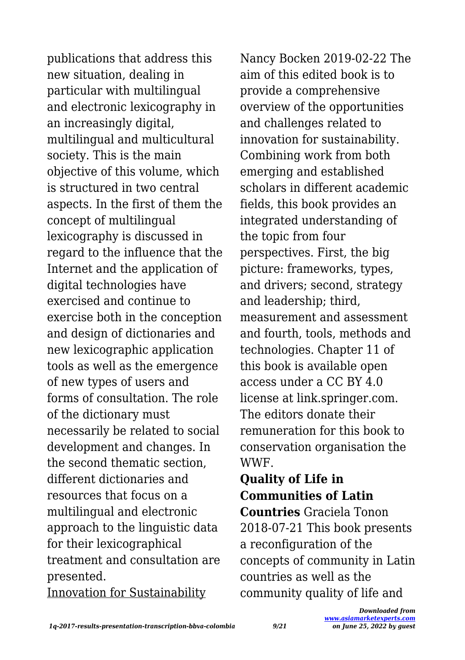publications that address this new situation, dealing in particular with multilingual and electronic lexicography in an increasingly digital, multilingual and multicultural society. This is the main objective of this volume, which is structured in two central aspects. In the first of them the concept of multilingual lexicography is discussed in regard to the influence that the Internet and the application of digital technologies have exercised and continue to exercise both in the conception and design of dictionaries and new lexicographic application tools as well as the emergence of new types of users and forms of consultation. The role of the dictionary must necessarily be related to social development and changes. In the second thematic section, different dictionaries and resources that focus on a multilingual and electronic approach to the linguistic data for their lexicographical treatment and consultation are presented. Innovation for Sustainability

Nancy Bocken 2019-02-22 The aim of this edited book is to provide a comprehensive overview of the opportunities and challenges related to innovation for sustainability. Combining work from both emerging and established scholars in different academic fields, this book provides an integrated understanding of the topic from four perspectives. First, the big picture: frameworks, types, and drivers; second, strategy and leadership; third, measurement and assessment and fourth, tools, methods and technologies. Chapter 11 of this book is available open access under a CC BY 4.0 license at link.springer.com. The editors donate their remuneration for this book to conservation organisation the WWF.

**Quality of Life in Communities of Latin Countries** Graciela Tonon 2018-07-21 This book presents a reconfiguration of the concepts of community in Latin countries as well as the community quality of life and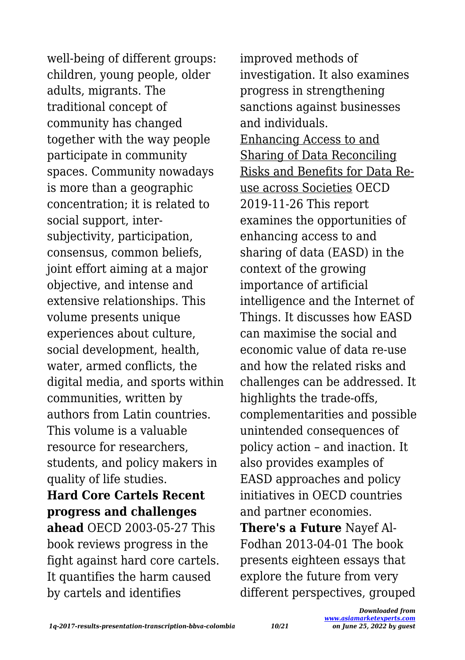well-being of different groups: children, young people, older adults, migrants. The traditional concept of community has changed together with the way people participate in community spaces. Community nowadays is more than a geographic concentration; it is related to social support, intersubjectivity, participation, consensus, common beliefs, joint effort aiming at a major objective, and intense and extensive relationships. This volume presents unique experiences about culture, social development, health, water, armed conflicts, the digital media, and sports within communities, written by authors from Latin countries. This volume is a valuable resource for researchers, students, and policy makers in quality of life studies. **Hard Core Cartels Recent progress and challenges ahead** OECD 2003-05-27 This book reviews progress in the fight against hard core cartels. It quantifies the harm caused by cartels and identifies

improved methods of investigation. It also examines progress in strengthening sanctions against businesses and individuals. Enhancing Access to and Sharing of Data Reconciling Risks and Benefits for Data Reuse across Societies OECD 2019-11-26 This report examines the opportunities of enhancing access to and sharing of data (EASD) in the context of the growing importance of artificial intelligence and the Internet of Things. It discusses how EASD can maximise the social and economic value of data re-use and how the related risks and challenges can be addressed. It highlights the trade-offs, complementarities and possible unintended consequences of policy action – and inaction. It also provides examples of EASD approaches and policy initiatives in OECD countries and partner economies. **There's a Future** Nayef Al-Fodhan 2013-04-01 The book presents eighteen essays that explore the future from very different perspectives, grouped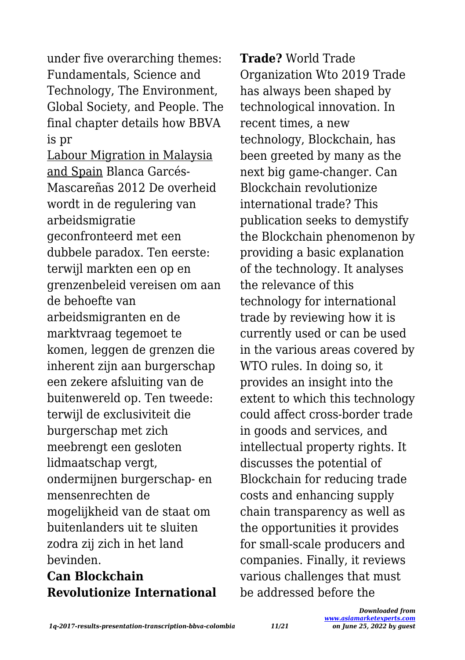under five overarching themes: Fundamentals, Science and Technology, The Environment, Global Society, and People. The final chapter details how BBVA is pr

Labour Migration in Malaysia and Spain Blanca Garcés-Mascareñas 2012 De overheid wordt in de regulering van arbeidsmigratie geconfronteerd met een dubbele paradox. Ten eerste: terwijl markten een op en grenzenbeleid vereisen om aan de behoefte van arbeidsmigranten en de marktvraag tegemoet te komen, leggen de grenzen die inherent zijn aan burgerschap een zekere afsluiting van de buitenwereld op. Ten tweede: terwijl de exclusiviteit die burgerschap met zich meebrengt een gesloten lidmaatschap vergt, ondermijnen burgerschap- en mensenrechten de mogelijkheid van de staat om buitenlanders uit te sluiten zodra zij zich in het land bevinden.

### **Can Blockchain Revolutionize International**

**Trade?** World Trade Organization Wto 2019 Trade has always been shaped by technological innovation. In recent times, a new technology, Blockchain, has been greeted by many as the next big game-changer. Can Blockchain revolutionize international trade? This publication seeks to demystify the Blockchain phenomenon by providing a basic explanation of the technology. It analyses the relevance of this technology for international trade by reviewing how it is currently used or can be used in the various areas covered by WTO rules. In doing so, it provides an insight into the extent to which this technology could affect cross-border trade in goods and services, and intellectual property rights. It discusses the potential of Blockchain for reducing trade costs and enhancing supply chain transparency as well as the opportunities it provides for small-scale producers and companies. Finally, it reviews various challenges that must be addressed before the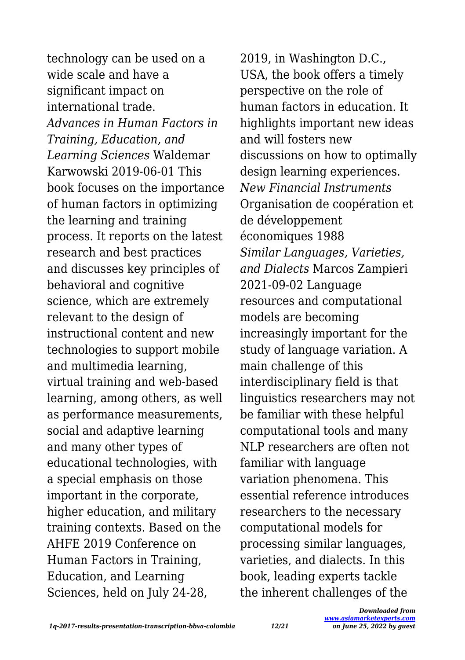technology can be used on a wide scale and have a significant impact on international trade. *Advances in Human Factors in Training, Education, and Learning Sciences* Waldemar Karwowski 2019-06-01 This book focuses on the importance of human factors in optimizing the learning and training process. It reports on the latest research and best practices and discusses key principles of behavioral and cognitive science, which are extremely relevant to the design of instructional content and new technologies to support mobile and multimedia learning, virtual training and web-based learning, among others, as well as performance measurements, social and adaptive learning and many other types of educational technologies, with a special emphasis on those important in the corporate, higher education, and military training contexts. Based on the AHFE 2019 Conference on Human Factors in Training, Education, and Learning Sciences, held on July 24-28,

2019, in Washington D.C., USA, the book offers a timely perspective on the role of human factors in education. It highlights important new ideas and will fosters new discussions on how to optimally design learning experiences. *New Financial Instruments* Organisation de coopération et de développement économiques 1988 *Similar Languages, Varieties, and Dialects* Marcos Zampieri 2021-09-02 Language resources and computational models are becoming increasingly important for the study of language variation. A main challenge of this interdisciplinary field is that linguistics researchers may not be familiar with these helpful computational tools and many NLP researchers are often not familiar with language variation phenomena. This essential reference introduces researchers to the necessary computational models for processing similar languages, varieties, and dialects. In this book, leading experts tackle the inherent challenges of the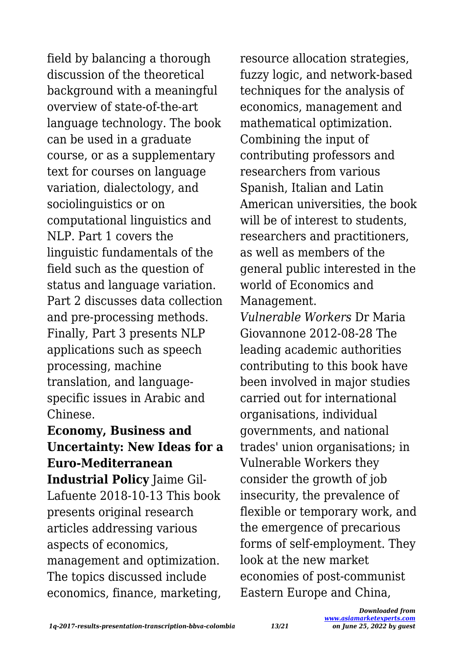field by balancing a thorough discussion of the theoretical background with a meaningful overview of state-of-the-art language technology. The book can be used in a graduate course, or as a supplementary text for courses on language variation, dialectology, and sociolinguistics or on computational linguistics and NLP. Part 1 covers the linguistic fundamentals of the field such as the question of status and language variation. Part 2 discusses data collection and pre-processing methods. Finally, Part 3 presents NLP applications such as speech processing, machine translation, and languagespecific issues in Arabic and Chinese.

# **Economy, Business and Uncertainty: New Ideas for a Euro-Mediterranean**

**Industrial Policy** Jaime Gil-Lafuente 2018-10-13 This book presents original research articles addressing various aspects of economics, management and optimization. The topics discussed include economics, finance, marketing,

resource allocation strategies, fuzzy logic, and network-based techniques for the analysis of economics, management and mathematical optimization. Combining the input of contributing professors and researchers from various Spanish, Italian and Latin American universities, the book will be of interest to students. researchers and practitioners, as well as members of the general public interested in the world of Economics and Management.

*Vulnerable Workers* Dr Maria Giovannone 2012-08-28 The leading academic authorities contributing to this book have been involved in major studies carried out for international organisations, individual governments, and national trades' union organisations; in Vulnerable Workers they consider the growth of job insecurity, the prevalence of flexible or temporary work, and the emergence of precarious forms of self-employment. They look at the new market economies of post-communist Eastern Europe and China,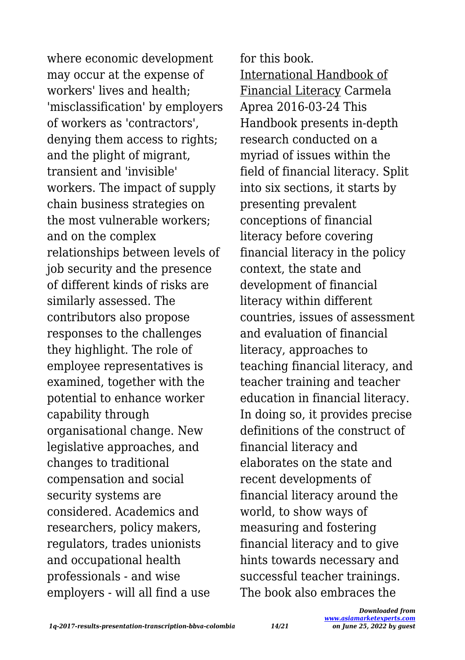where economic development may occur at the expense of workers' lives and health; 'misclassification' by employers of workers as 'contractors', denying them access to rights; and the plight of migrant, transient and 'invisible' workers. The impact of supply chain business strategies on the most vulnerable workers; and on the complex relationships between levels of job security and the presence of different kinds of risks are similarly assessed. The contributors also propose responses to the challenges they highlight. The role of employee representatives is examined, together with the potential to enhance worker capability through organisational change. New legislative approaches, and changes to traditional compensation and social security systems are considered. Academics and researchers, policy makers, regulators, trades unionists and occupational health professionals - and wise employers - will all find a use

for this book. International Handbook of Financial Literacy Carmela Aprea 2016-03-24 This Handbook presents in-depth research conducted on a myriad of issues within the field of financial literacy. Split into six sections, it starts by presenting prevalent conceptions of financial literacy before covering financial literacy in the policy context, the state and development of financial literacy within different countries, issues of assessment and evaluation of financial literacy, approaches to teaching financial literacy, and teacher training and teacher education in financial literacy. In doing so, it provides precise definitions of the construct of financial literacy and elaborates on the state and recent developments of financial literacy around the world, to show ways of measuring and fostering financial literacy and to give hints towards necessary and successful teacher trainings. The book also embraces the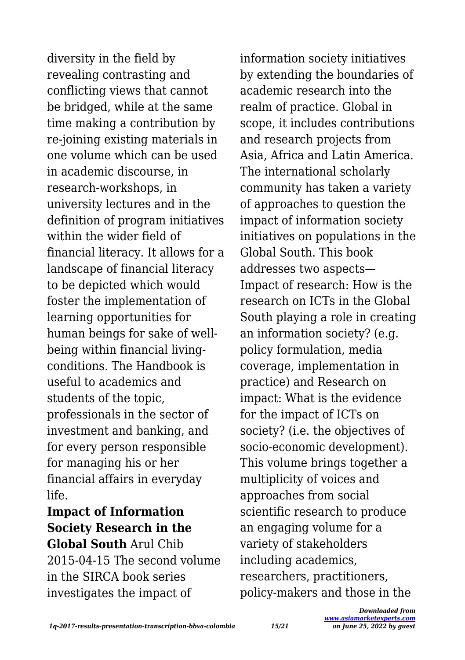diversity in the field by revealing contrasting and conflicting views that cannot be bridged, while at the same time making a contribution by re-joining existing materials in one volume which can be used in academic discourse, in research-workshops, in university lectures and in the definition of program initiatives within the wider field of financial literacy. It allows for a landscape of financial literacy to be depicted which would foster the implementation of learning opportunities for human beings for sake of wellbeing within financial livingconditions. The Handbook is useful to academics and students of the topic, professionals in the sector of investment and banking, and for every person responsible for managing his or her financial affairs in everyday life.

**Impact of Information Society Research in the Global South** Arul Chib 2015-04-15 The second volume in the SIRCA book series investigates the impact of

information society initiatives by extending the boundaries of academic research into the realm of practice. Global in scope, it includes contributions and research projects from Asia, Africa and Latin America. The international scholarly community has taken a variety of approaches to question the impact of information society initiatives on populations in the Global South. This book addresses two aspects— Impact of research: How is the research on ICTs in the Global South playing a role in creating an information society? (e.g. policy formulation, media coverage, implementation in practice) and Research on impact: What is the evidence for the impact of ICTs on society? (i.e. the objectives of socio-economic development). This volume brings together a multiplicity of voices and approaches from social scientific research to produce an engaging volume for a variety of stakeholders including academics, researchers, practitioners, policy-makers and those in the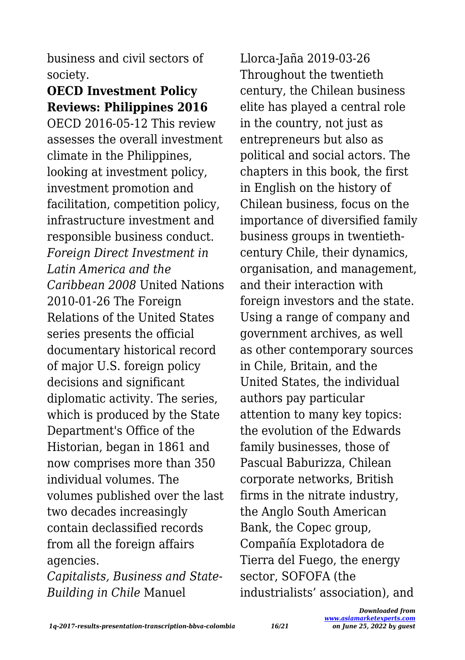business and civil sectors of society.

# **OECD Investment Policy Reviews: Philippines 2016**

OECD 2016-05-12 This review assesses the overall investment climate in the Philippines, looking at investment policy, investment promotion and facilitation, competition policy, infrastructure investment and responsible business conduct. *Foreign Direct Investment in Latin America and the Caribbean 2008* United Nations 2010-01-26 The Foreign Relations of the United States series presents the official documentary historical record of major U.S. foreign policy decisions and significant diplomatic activity. The series, which is produced by the State Department's Office of the Historian, began in 1861 and now comprises more than 350 individual volumes. The volumes published over the last two decades increasingly contain declassified records from all the foreign affairs agencies.

*Capitalists, Business and State-Building in Chile* Manuel

Llorca-Jaña 2019-03-26 Throughout the twentieth century, the Chilean business elite has played a central role in the country, not just as entrepreneurs but also as political and social actors. The chapters in this book, the first in English on the history of Chilean business, focus on the importance of diversified family business groups in twentiethcentury Chile, their dynamics, organisation, and management, and their interaction with foreign investors and the state. Using a range of company and government archives, as well as other contemporary sources in Chile, Britain, and the United States, the individual authors pay particular attention to many key topics: the evolution of the Edwards family businesses, those of Pascual Baburizza, Chilean corporate networks, British firms in the nitrate industry, the Anglo South American Bank, the Copec group, Compañía Explotadora de Tierra del Fuego, the energy sector, SOFOFA (the industrialists' association), and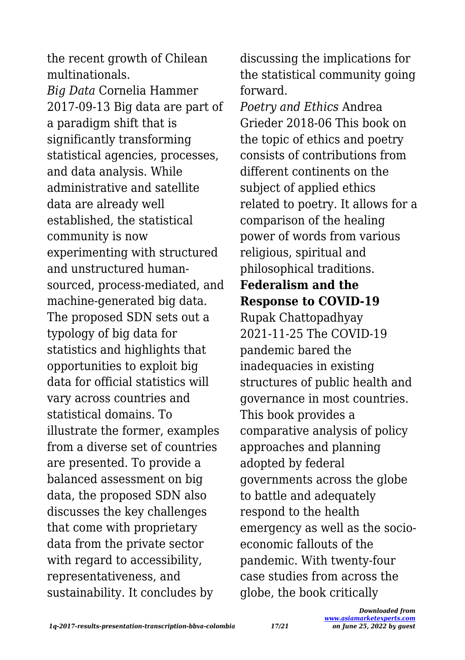the recent growth of Chilean multinationals. *Big Data* Cornelia Hammer 2017-09-13 Big data are part of a paradigm shift that is significantly transforming statistical agencies, processes, and data analysis. While administrative and satellite data are already well established, the statistical community is now experimenting with structured and unstructured humansourced, process-mediated, and machine-generated big data. The proposed SDN sets out a typology of big data for statistics and highlights that opportunities to exploit big data for official statistics will vary across countries and statistical domains. To illustrate the former, examples from a diverse set of countries are presented. To provide a balanced assessment on big data, the proposed SDN also discusses the key challenges that come with proprietary data from the private sector with regard to accessibility, representativeness, and sustainability. It concludes by

discussing the implications for the statistical community going forward.

*Poetry and Ethics* Andrea Grieder 2018-06 This book on the topic of ethics and poetry consists of contributions from different continents on the subject of applied ethics related to poetry. It allows for a comparison of the healing power of words from various religious, spiritual and philosophical traditions. **Federalism and the Response to COVID-19** Rupak Chattopadhyay 2021-11-25 The COVID-19 pandemic bared the inadequacies in existing structures of public health and governance in most countries. This book provides a comparative analysis of policy approaches and planning adopted by federal governments across the globe to battle and adequately respond to the health emergency as well as the socioeconomic fallouts of the pandemic. With twenty-four case studies from across the globe, the book critically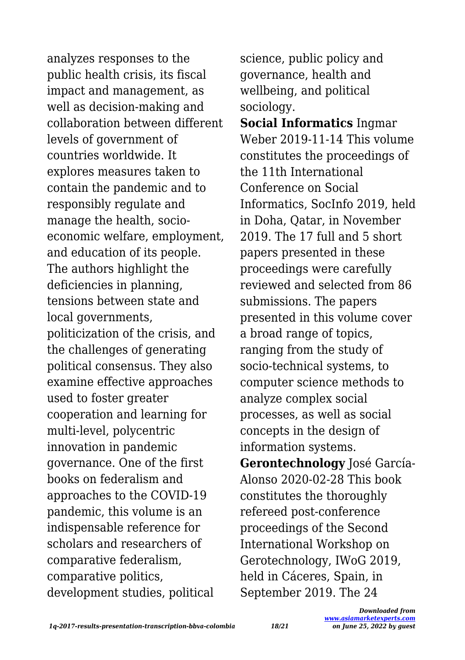analyzes responses to the public health crisis, its fiscal impact and management, as well as decision-making and collaboration between different levels of government of countries worldwide. It explores measures taken to contain the pandemic and to responsibly regulate and manage the health, socioeconomic welfare, employment, and education of its people. The authors highlight the deficiencies in planning, tensions between state and local governments, politicization of the crisis, and the challenges of generating political consensus. They also examine effective approaches used to foster greater cooperation and learning for multi-level, polycentric innovation in pandemic governance. One of the first books on federalism and approaches to the COVID-19 pandemic, this volume is an indispensable reference for scholars and researchers of comparative federalism, comparative politics, development studies, political

science, public policy and governance, health and wellbeing, and political sociology.

**Social Informatics** Ingmar Weber 2019-11-14 This volume constitutes the proceedings of the 11th International Conference on Social Informatics, SocInfo 2019, held in Doha, Qatar, in November 2019. The 17 full and 5 short papers presented in these proceedings were carefully reviewed and selected from 86 submissions. The papers presented in this volume cover a broad range of topics, ranging from the study of socio-technical systems, to computer science methods to analyze complex social processes, as well as social concepts in the design of information systems. **Gerontechnology** José García-

Alonso 2020-02-28 This book constitutes the thoroughly refereed post-conference proceedings of the Second International Workshop on Gerotechnology, IWoG 2019, held in Cáceres, Spain, in September 2019. The 24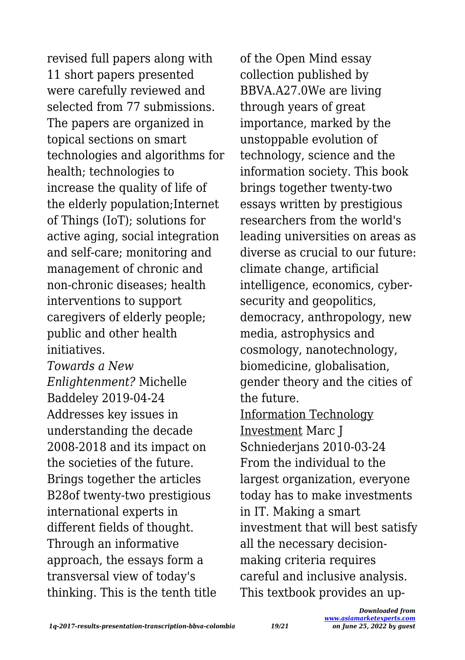revised full papers along with 11 short papers presented were carefully reviewed and selected from 77 submissions. The papers are organized in topical sections on smart technologies and algorithms for health; technologies to increase the quality of life of the elderly population;Internet of Things (IoT); solutions for active aging, social integration and self-care; monitoring and management of chronic and non-chronic diseases; health interventions to support caregivers of elderly people; public and other health initiatives.

*Towards a New Enlightenment?* Michelle Baddeley 2019-04-24 Addresses key issues in understanding the decade 2008-2018 and its impact on the societies of the future. Brings together the articles B28of twenty-two prestigious international experts in different fields of thought. Through an informative approach, the essays form a transversal view of today's thinking. This is the tenth title of the Open Mind essay collection published by BBVA.A27.0We are living through years of great importance, marked by the unstoppable evolution of technology, science and the information society. This book brings together twenty-two essays written by prestigious researchers from the world's leading universities on areas as diverse as crucial to our future: climate change, artificial intelligence, economics, cybersecurity and geopolitics, democracy, anthropology, new media, astrophysics and cosmology, nanotechnology, biomedicine, globalisation, gender theory and the cities of the future. Information Technology Investment Marc J Schniederjans 2010-03-24 From the individual to the largest organization, everyone today has to make investments in IT. Making a smart investment that will best satisfy all the necessary decisionmaking criteria requires careful and inclusive analysis. This textbook provides an up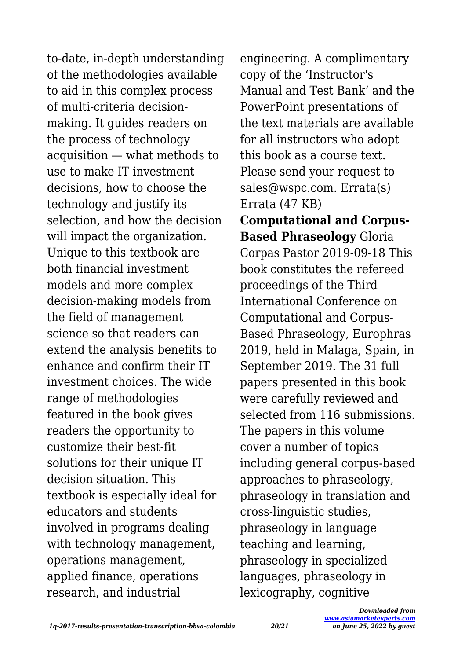to-date, in-depth understanding of the methodologies available to aid in this complex process of multi-criteria decisionmaking. It guides readers on the process of technology acquisition — what methods to use to make IT investment decisions, how to choose the technology and justify its selection, and how the decision will impact the organization. Unique to this textbook are both financial investment models and more complex decision-making models from the field of management science so that readers can extend the analysis benefits to enhance and confirm their IT investment choices. The wide range of methodologies featured in the book gives readers the opportunity to customize their best-fit solutions for their unique IT decision situation. This textbook is especially ideal for educators and students involved in programs dealing with technology management, operations management, applied finance, operations research, and industrial

engineering. A complimentary copy of the 'Instructor's Manual and Test Bank' and the PowerPoint presentations of the text materials are available for all instructors who adopt this book as a course text. Please send your request to sales@wspc.com. Errata(s) Errata (47 KB) **Computational and Corpus-Based Phraseology** Gloria Corpas Pastor 2019-09-18 This book constitutes the refereed proceedings of the Third International Conference on Computational and Corpus-Based Phraseology, Europhras 2019, held in Malaga, Spain, in September 2019. The 31 full papers presented in this book were carefully reviewed and selected from 116 submissions. The papers in this volume cover a number of topics including general corpus-based approaches to phraseology, phraseology in translation and cross-linguistic studies, phraseology in language teaching and learning, phraseology in specialized languages, phraseology in lexicography, cognitive